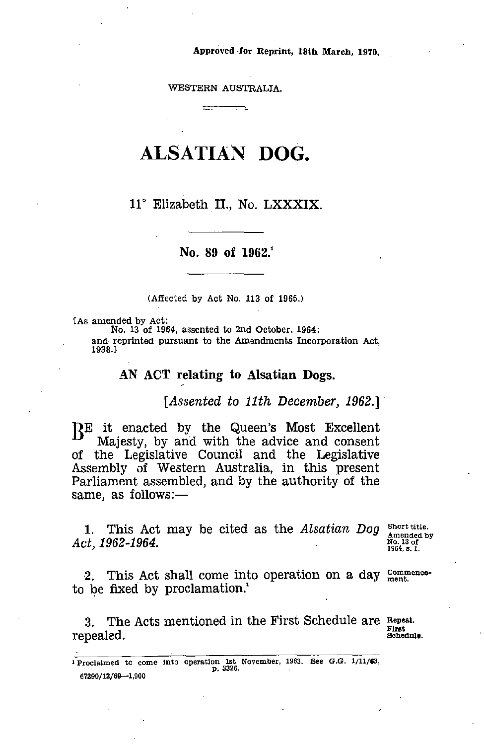Approved for Reprint, 18th March, 1970.

WESTERN AUSTRALIA. <del>\_\_\_\_\_\_\_\_</del>\_

# ALSATIAN DOG.

11° Elizabeth II., No. LXXXIX.

## No. 89 of  $1962.1$

(Affected by Act No. 113 of 1965.)

[As amended by Act:

No. 13 of 1964, assented to 2nd October, 1964;

and reprinted pursuant to the Amendments Incorporation Act, 1938.3

# AN ACT relating to Alsatian Dogs.

*[Assented to 11th December, 1962.]*

**BE** it enacted by the Queen's Most Excellent Maiesty, by and with the advice and consent Majesty, by and with the advice and consent of the Legislative Council and the Legislative Assembly of Western Australia, in this present Parliament assembled, and by the authority of the same, as follows:— *AN ACT*<br>*AE* it enacted<br>*Majesty, by*<br>of the Legisla<br>Assembly of V<br>Parliament asse<br>same, as follow<br>1. This Act<br>*Act, 1962-1964.*<br>2. This Act<br>to be fixed by of the Legislative Council and the Legislative<br>Assembly of Western Australia, in this present<br>Parliament assembled, and by the authority of the<br>same, as follows:—<br>1. This Act may be cited as the Alsatian Dog Short title<br>A

1. This Act may be cited as the *Alsatian Dog Act.* 1962-1964.

Short title. Amended by No. 13 of 1964,

2. This Act shall come into operation on a day  $\frac{\text{Comment}}{\text{ment}}$ . to be fixed by proclamation.'

3. The Acts mentioned in the First Schedule are Repeal.<br>nealed.

I Proclaimed to come into operation 1st November, 1963. See *G.G.* 1/11/63, p. 3326. 67290/12/69-1,900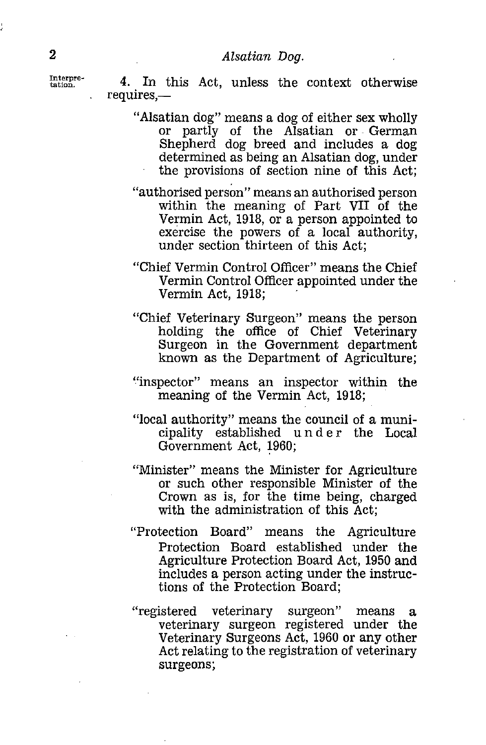Interpre-

2<br> *Alsatian Dog.*<br>
<sup>Interpre-</sup><br>
4. In this Act, unless the requires,— 4. In this Act, unless the context otherwise requires,

- "Alsatian dog" means a dog of either sex wholly or partly of the Alsatian or German Shepherd dog breed and includes a dog determined as being an Alsatian dog, under the provisions of section nine of this Act;
- "authorised person" means an authorised person within the meaning of Part VII of the Vermin Act, 1918, or a person appointed to exercise the powers of a local authority, under section thirteen of this Act;
- "Chief Vermin Control Officer" means the Chief Vermin Control Officer appointed under the Vermin Act, 1918;
- "Chief Veterinary Surgeon" means the person holding the office of Chief Veterinary Surgeon in the Government department known as the Department of Agriculture;
- "inspector" means an inspector within the meaning of the Vermin Act, 1918;
- "local authority" means the council of a municipality established under the Local Government Act, 1960;
- "Minister" means the Minister for Agriculture or such other responsible Minister of the Crown as is, for the time being, charged with the administration of this Act;
- "Protection Board" means the Agriculture Protection Board established under the Agriculture Protection Board Act, 1950 and includes a person acting under the instructions of the Protection Board;
- "registered veterinary surgeon" means a veterinary surgeon registered under the Veterinary Surgeons Act, 1960 or any other Act relating to the registration of veterinary surgeons;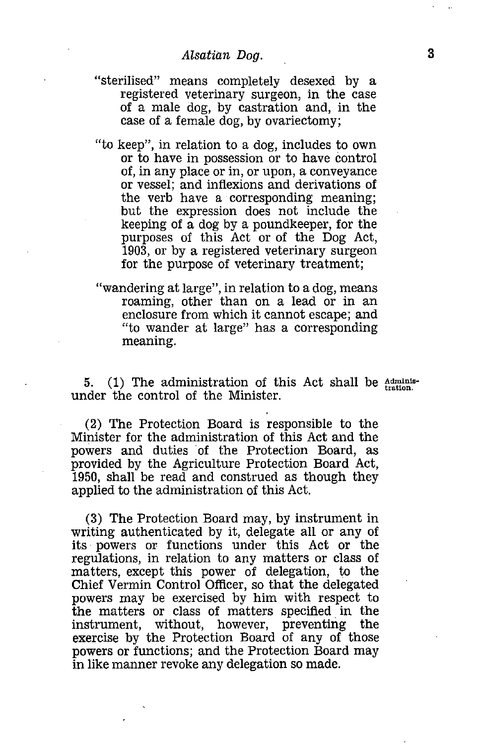- *Alsatian Dog.*  **<sup>3</sup>** "sterilised" means completely desexed by a registered veterinary surgeon, in the case of a male dog, by castration and, in the case of a female dog, by ovariectomy;
- "to keep", in relation to a dog, includes to own or to have in possession or to have control of, in any place or in, or upon, a conveyance or vessel; and inflexions and derivations of the verb have a corresponding meaning; but the expression does not include the keeping of a dog by a poundkeeper, for the purposes of this Act or of the Dog Act, 1903, or by a registered veterinary surgeon for the purpose of veterinary treatment;
- "wandering at large", in relation to a dog, means roaming, other than on a lead or in an enclosure from which it cannot escape; and "to wander at large" has a corresponding meaning.

5. (1) The administration of this Act shall be  $\frac{\text{Admins}}{\text{tration}}$ . under the control of the Minister.

(2) The Protection Board is responsible to the Minister for the administration of this Act and the powers and duties of the Protection Board, as provided by the Agriculture Protection Board Act, 1950, shall be read and construed as though they applied to the administration of this Act.

(3) The Protection Board may, by instrument in writing authenticated by it, delegate all or any of its powers or functions under this Act or the regulations, in relation to any matters or class of matters, except this power of delegation, to the Chief Vermin Control Officer, so that the delegated powers may be exercised by him with respect to the matters or class of matters specified in the instrument, without, however, preventing the exercise by the Protection Board of any of those powers or functions; and the Protection Board may in like manner revoke any delegation so made.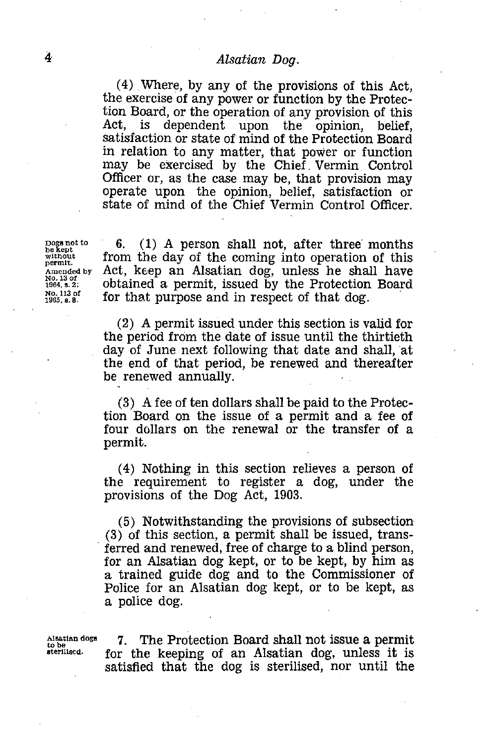4 *Alsatian Dog.*<br>(4) Where, by any of the pro-<br>the exercise of any power or func (4) Where, by any of the provisions of this Act, the exercise of any power or function by the Protection Board, or the operation of any provision of this Act, is dependent upon the opinion, belief, satisfaction or state of mind of the Protection Board in relation to any matter, that power or function may be exercised by the Chief Vermin Control Officer or, as the case may be, that provision may operate upon the opinion, belief, satisfaction or state of mind of the Chief Vermin Control Officer.

Dogs not to<br>be kept<br>without<br>permit.<br>Amended by Dogs not<br>without<br>permit.<br>Amended<br>N964, s. 2; No. 13 of<br>1964, s. 2; No. 113 of<br>1965, s. 8. Dogs not t<br>be kept<br>without<br>permit.<br>Ame. 13 of<br>1964, s. 2;<br>No. 113 of<br>1965, s. 8.

 $\frac{\text{Dogs not to}}{\text{best to}}$  6. (1) A person shall not, after three months be kept from the day of the coming into operation of this *from* the day of the coming into operation of this permit.<br>Amended by Act, keep an Alsatian dog, unless he shall have Act, keep an Alsatian dog, unless he shall have obtained a permit, issued by the Protection Board may be exercised by the Chief vernini Control.<br>
Officer or, as the case may be, that provision may<br>
operate upon the opinion, belief, satisfaction of<br>
state of mind of the Chief Vermin Control Officer<br>
permit,<br>
from the d for that purpose and in respect of that dog.

> (2) A permit issued under this section is valid for the period from the date of issue until the thirtieth day of June next following that date and shall, at the end of that period, be renewed and thereafter be renewed annually.

> (3) A fee of ten dollars shall be paid to the Protection Board on the issue of a permit and a fee of four dollars on the renewal or the transfer of a permit.

> (4) Nothing in this section relieves a person of the requirement to register a dog, under the provisions of the Dog Act, 1903.

> (5) Notwithstanding the provisions of subsection (3) of this section, a permit shall be issued, transferred and renewed, free of charge to a blind person, for an Alsatian dog kept, or to be kept, by him as a trained guide dog and to the Commissioner of Police for an Alsatian dog kept, or to be kept, as a police dog.

Alsatian de<br>to be<br>sterilised.

 $\frac{\text{Alstation} \cdot \text{Gog}}{\text{Aogon}}$  7. The Protection Board shall not issue a permit  $\frac{\text{Algebra}}{\text{Aogon}}$  for the keeping of an Alsatian dog unless it is for the keeping of an Alsatian dog, unless it is satisfied that the dog is sterilised, nor until the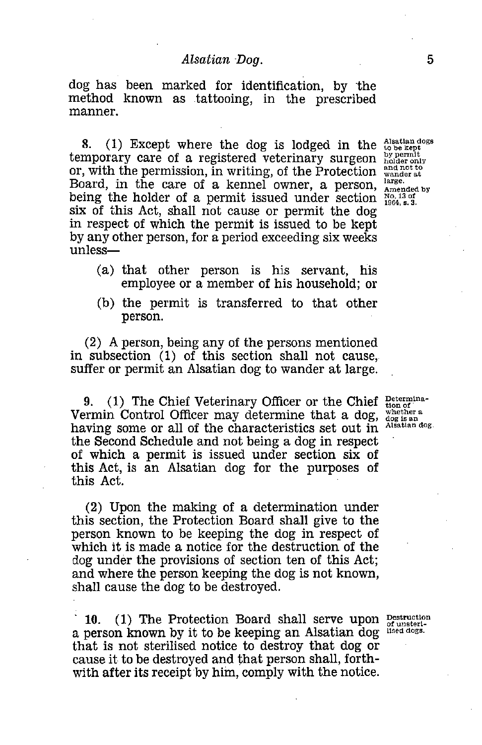*Alsatian Dog.*<br>
5<br>
The formal interpresenting the stattooing, in the prescribed dog has been marked for identification, by the method known as tattooing, in the prescribed manner.

or, with the permission, in writing, of the Protection  $\frac{and not to}{wander at}$ 8. (1) Except where the dog is lodged in the temporary care of a registered veterinary surgeon Board, in the care of a kennel owner, a person, being the holder of a permit issued under section six of this Act, shall not cause or permit the dog in respect of which the permit is issued to be kept by any other person, for a period exceeding six weeks unless

- (a) that other person is his servant, his employee or a member of his household; or
- (b) the permit is transferred to that other person.

(2) A person, being any of the persons mentioned in subsection (1) of this section shall not cause, suffer or permit an Alsatian dog to wander at large.

9. (1) The Chief Veterinary Officer or the Chief Determina-Vermin Control Officer may determine that a dog, whether having some or all of the characteristics set out in the Second Schedule and not being a dog in respect of which a permit is issued under section six of this Act, is an Alsatian dog for the purposes of this Act.

(2) Upon the making of a determination under this section, the Protection Board shall give to the person known to be keeping the dog in respect of which it is made a notice for the destruction of the dog under the provisions of section ten of this Act; and where the person keeping the dog is not known, shall cause the dog to be destroyed.

10. (1) The Protection Board shall serve upon  $P_{\text{exturbation}}$ a person known by it to be keeping an Alsatian dog that is not sterilised notice to destroy that dog or cause it to be destroyed and that person shall, forthwith after its receipt by him, comply with the notice.

whether a Alsatian dog.

Alsatian dogs to be kept bY permit holder only large. Amended bY No. 13 of 1964, s. 3.

of unsterilised dogs.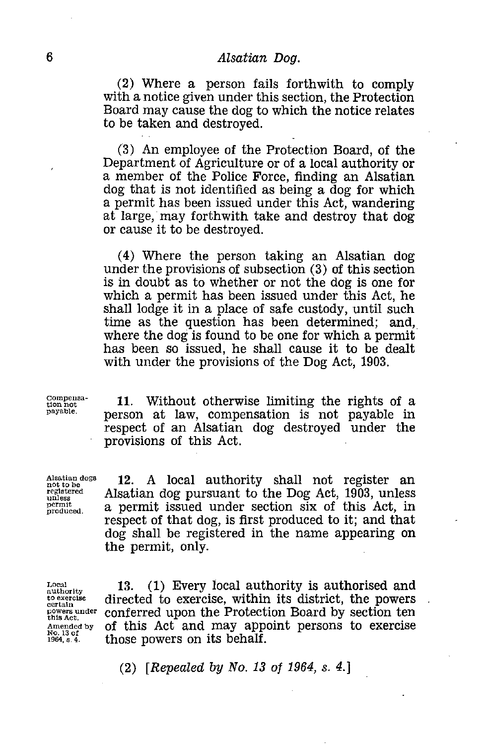6<br> *Alsatian Dog.*<br>
(2) Where a person fails for with a notice given under this sec (2) Where a person fails forthwith to comply with a notice given under this section, the Protection Board may cause the dog to which the notice relates to be taken and destroyed.

> (3) An employee of the Protection Board, of the Department of Agriculture or of a local authority or a member of the Police Force, finding an Alsatian dog that is not identified as being a dog for which a permit has been issued under this Act, wandering at large, may forthwith take and destroy that dog or cause it to be destroyed.

> (4) Where the person taking an Alsatian dog under the provisions of subsection (3) of this section is in doubt as to whether or not the dog is one for which a permit has been issued under this Act, he shall lodge it in a place of safe custody, until such time as the question has been determined; and, where the dog is found to be one for which a permit has been so issued, he shall cause it to be dealt with under the provisions of the Dog Act, 1903.

Compensation not payable.

Alsatian dogs not to be registered unless permit produced.

11. Without otherwise limiting the rights of a person at law, compensation is not payable in respect of an Alsatian dog destroyed under the provisions of this Act.

12. A local authority shall not register an Alsatian dog pursuant to the Dog Act, 1903, unless a permit issued under section six of this Act, in respect of that dog, is first produced to it; and that dog shall be registered in the name appearing on the permit, only.

Local authority to exercise certain powers under this Act. Amended by No. 13 of 1964, s. 4.

13. (1) Every local authority is authorised and directed to exercise, within its district, the powers conferred upon the Protection Board by section ten of this Act and may appoint persons to exercise those powers on its behalf.

(2) *[Repealed by No. 13 of 1964, s. 4.*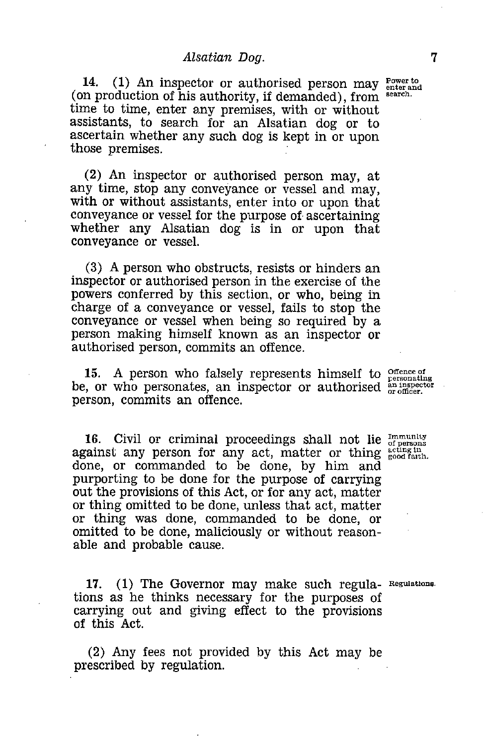*Alsatian Dog.*  <sup>7</sup> 14. (1) An inspector or authorised person may  $P_{\text{inter and}}^{\text{Power to}}$ (on production of his authority, if demanded), from search. time to time, enter any premises, with or without assistants, to search for an Alsatian dog or to ascertain whether any such dog is kept in or upon those premises.

(2) An inspector or authorised person may, at any time, stop any conveyance or vessel and may, with or without assistants, enter into or upon that conveyance or vessel for the purpose of ascertaining whether any Alsatian dog is in or upon that conveyance or vessel.

(3) A person who obstructs, resists or hinders an inspector or authorised person in the exercise of the powers conferred by this section, or who, being in charge of a conveyance or vessel, fails to stop the conveyance or vessel when being so required by a person making himself known as an inspector or authorised person, commits an offence.

15. A person who falsely represents himself to  $_{\text{personating}}^{\text{offence of}}$ be, or who personates, an inspector or authorised  $_{\text{or \,ofificer.}}^{in \, \text{inspector}}$ person, commits an offence.

**16.** Civil or criminal proceedings shall not lie  $\frac{Immuuity}{of terms}$  ainst any person for any act, matter or thing  $\frac{1}{8}$  cologiath. against any person for any act, matter or thing done, or commanded to be done, by him and purporting to be done for the purpose of carrying out the provisions of this Act, or for any act, matter or thing omitted to be done, unless that act, matter or thing was done, commanded to be done, or omitted to be done, maliciously or without reasonable and probable cause.

17. (1) The Governor may make such regula- Regulations. tions as he thinks necessary for the purposes of carrying out and giving effect to the provisions of this Act.

(2) Any fees not provided by this Act may be prescribed by regulation.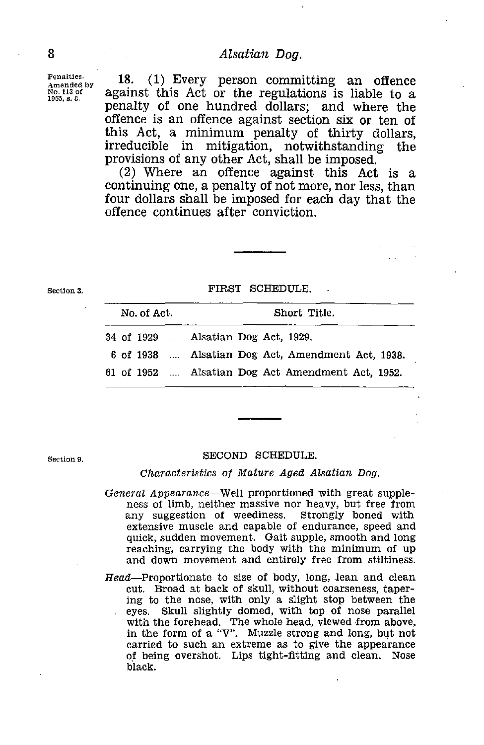Penalties. Amended by No. 113 of 1965, 8. 8.

*Alsatian Dog.*<br> **B**<br> **Eventure Solution**<br> **Example 18.** (1) Every person comm<br> **Example 18.** (1) Every person comm<br> **Example 18.** (1) Every person community of the regulation 18. (1) Every person committing an offence against this Act or the regulations is liable to a penalty of one hundred dollars; and where the offence is an offence against section six or ten of this Act, a minimum penalty of thirty dollars, irreducible in mitigation, notwithstanding the provisions of any other Act, shall be imposed.

Section 3.

#### FIRST SCHEDULE.

|                                                       |             |  | provisions of any other net, shall be imposed.      |              |  |  |
|-------------------------------------------------------|-------------|--|-----------------------------------------------------|--------------|--|--|
|                                                       |             |  | (2) Where an offence against this Act is a          |              |  |  |
| continuing one, a penalty of not more, nor less, than |             |  |                                                     |              |  |  |
|                                                       |             |  | four dollars shall be imposed for each day that the |              |  |  |
|                                                       |             |  | offence continues after conviction.                 |              |  |  |
|                                                       |             |  |                                                     |              |  |  |
|                                                       |             |  |                                                     |              |  |  |
|                                                       |             |  |                                                     |              |  |  |
|                                                       |             |  |                                                     |              |  |  |
|                                                       |             |  |                                                     |              |  |  |
|                                                       |             |  | FIRST SCHEDULE.                                     |              |  |  |
|                                                       |             |  |                                                     |              |  |  |
|                                                       | No. of Act. |  |                                                     | Short Title. |  |  |
|                                                       |             |  |                                                     |              |  |  |
|                                                       |             |  | 34 of 1929  Alsatian Dog Act, 1929.                 |              |  |  |
|                                                       |             |  |                                                     |              |  |  |
|                                                       |             |  | 6 of 1938  Alsatian Dog Act, Amendment Act, 1938.   |              |  |  |
|                                                       |             |  | 61 of 1952  Alsatian Dog Act Amendment Act, 1952.   |              |  |  |
|                                                       |             |  |                                                     |              |  |  |
|                                                       |             |  |                                                     |              |  |  |

Section 9.

#### SECOND SCHEDULE.

### *Characteristics of Mature Aged Alsatian Dog.*

- *General Appearance—Well* proportioned with great suppleness of limb, neither massive nor heavy, but free from any suggestion of weediness. Strongly boned with extensive muscle and capable of endurance, speed and quick, sudden movement. Gait supple, smooth and long reaching, carrying the body with the minimum of up and down movement and entirely free from stiltiness.
- Head—Proportionate to size of body, long, lean and clean cut. Broad at back of skull, without coarseness, tapering to the nose, with only a slight stop between the eyes: Skull slightly domed, with top of nose parallel with the forehead. The whole head, viewed from above, in the form of a "V". Muzzle strong and long, but not carried to such an extreme as to give the appearance of being overshot. Lips tight-fitting and clean. Nose black.